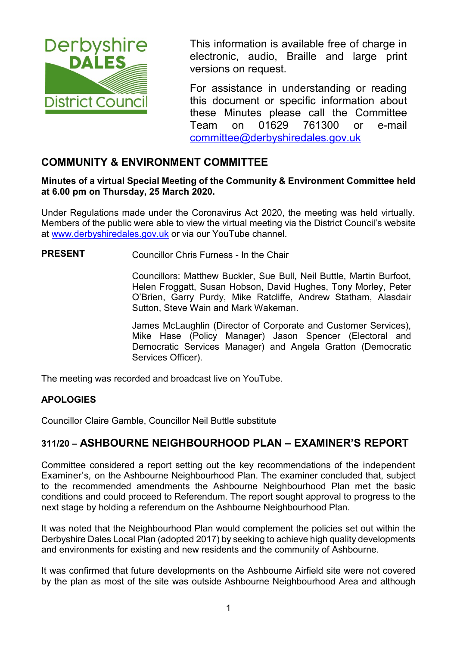

This information is available free of charge in electronic, audio, Braille and large print versions on request.

For assistance in understanding or reading this document or specific information about these Minutes please call the Committee Team on 01629 761300 or e-mail [committee@derbyshiredales.gov.uk](mailto:brian.evans@derbyshiredales.gov.uk) 

## **COMMUNITY & ENVIRONMENT COMMITTEE**

#### **Minutes of a virtual Special Meeting of the Community & Environment Committee held at 6.00 pm on Thursday, 25 March 2020.**

Under Regulations made under the Coronavirus Act 2020, the meeting was held virtually. Members of the public were able to view the virtual meeting via the District Council's website at [www.derbyshiredales.gov.uk](http://www.derbyshiredales.gov.uk/) or via our YouTube channel.

**PRESENT** Councillor Chris Furness - In the Chair

Councillors: Matthew Buckler, Sue Bull, Neil Buttle, Martin Burfoot, Helen Froggatt, Susan Hobson, David Hughes, Tony Morley, Peter O'Brien, Garry Purdy, Mike Ratcliffe, Andrew Statham, Alasdair Sutton, Steve Wain and Mark Wakeman.

James McLaughlin (Director of Corporate and Customer Services), Mike Hase (Policy Manager) Jason Spencer (Electoral and Democratic Services Manager) and Angela Gratton (Democratic Services Officer).

The meeting was recorded and broadcast live on YouTube.

#### **APOLOGIES**

Councillor Claire Gamble, Councillor Neil Buttle substitute

## **311/20 – ASHBOURNE NEIGHBOURHOOD PLAN – EXAMINER'S REPORT**

Committee considered a report setting out the key recommendations of the independent Examiner's*,* on the Ashbourne Neighbourhood Plan. The examiner concluded that, subject to the recommended amendments the Ashbourne Neighbourhood Plan met the basic conditions and could proceed to Referendum. The report sought approval to progress to the next stage by holding a referendum on the Ashbourne Neighbourhood Plan.

It was noted that the Neighbourhood Plan would complement the policies set out within the Derbyshire Dales Local Plan (adopted 2017) by seeking to achieve high quality developments and environments for existing and new residents and the community of Ashbourne.

It was confirmed that future developments on the Ashbourne Airfield site were not covered by the plan as most of the site was outside Ashbourne Neighbourhood Area and although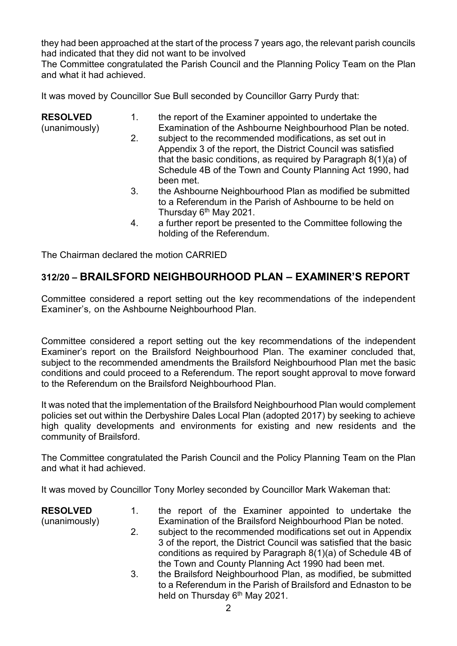they had been approached at the start of the process 7 years ago, the relevant parish councils had indicated that they did not want to be involved

The Committee congratulated the Parish Council and the Planning Policy Team on the Plan and what it had achieved.

It was moved by Councillor Sue Bull seconded by Councillor Garry Purdy that:

| <b>RESOLVED</b><br>(unanimously) | 1. | the report of the Examiner appointed to undertake the<br>Examination of the Ashbourne Neighbourhood Plan be noted.                                                                                                                                                    |
|----------------------------------|----|-----------------------------------------------------------------------------------------------------------------------------------------------------------------------------------------------------------------------------------------------------------------------|
|                                  | 2. | subject to the recommended modifications, as set out in<br>Appendix 3 of the report, the District Council was satisfied<br>that the basic conditions, as required by Paragraph $8(1)(a)$ of<br>Schedule 4B of the Town and County Planning Act 1990, had<br>been met. |
|                                  | 3. | the Ashbourne Neighbourhood Plan as modified be submitted<br>to a Referendum in the Parish of Ashbourne to be held on<br>Thursday 6 <sup>th</sup> May 2021.                                                                                                           |
|                                  | 4. | a further report be presented to the Committee following the<br>holding of the Referendum.                                                                                                                                                                            |

The Chairman declared the motion CARRIED

# **312/20 – BRAILSFORD NEIGHBOURHOOD PLAN – EXAMINER'S REPORT**

Committee considered a report setting out the key recommendations of the independent Examiner's*,* on the Ashbourne Neighbourhood Plan.

Committee considered a report setting out the key recommendations of the independent Examiner's report on the Brailsford Neighbourhood Plan. The examiner concluded that, subject to the recommended amendments the Brailsford Neighbourhood Plan met the basic conditions and could proceed to a Referendum. The report sought approval to move forward to the Referendum on the Brailsford Neighbourhood Plan.

It was noted that the implementation of the Brailsford Neighbourhood Plan would complement policies set out within the Derbyshire Dales Local Plan (adopted 2017) by seeking to achieve high quality developments and environments for existing and new residents and the community of Brailsford.

The Committee congratulated the Parish Council and the Policy Planning Team on the Plan and what it had achieved.

It was moved by Councillor Tony Morley seconded by Councillor Mark Wakeman that:

| <b>RESOLVED</b> | $1_{-}$ | the report of the Examiner appointed to undertake the              |
|-----------------|---------|--------------------------------------------------------------------|
| (unanimously)   |         | Examination of the Brailsford Neighbourhood Plan be noted.         |
|                 | 2.      | subject to the recommended modifications set out in Appendix       |
|                 |         | 3 of the report, the District Council was satisfied that the basic |
|                 |         | conditions as required by Paragraph $8(1)(a)$ of Schedule 4B of    |
|                 |         | the Town and County Planning Act 1990 had been met.                |
|                 | 3.      | the Brailsford Neighbourhood Plan, as modified, be submitted       |

3. the Brailsford Neighbourhood Plan, as modified, be submitted to a Referendum in the Parish of Brailsford and Ednaston to be held on Thursday 6<sup>th</sup> May 2021.